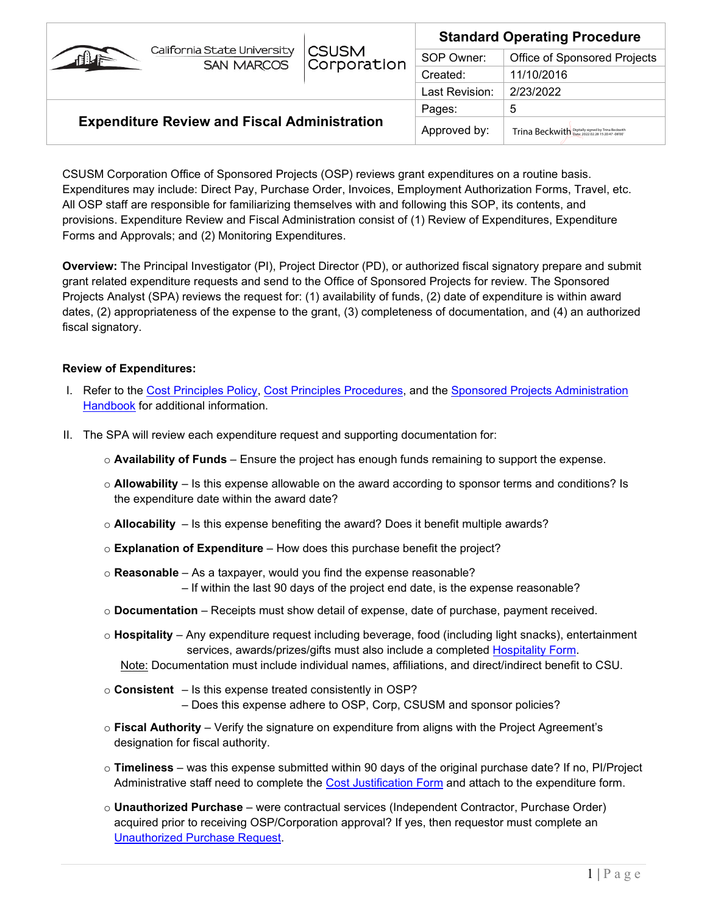|                                                     | <b>CSUSM</b><br>Corporation | <b>Standard Operating Procedure</b> |                                                   |  |
|-----------------------------------------------------|-----------------------------|-------------------------------------|---------------------------------------------------|--|
| California State University<br><b>SAN MARCOS</b>    |                             | SOP Owner:                          | Office of Sponsored Projects                      |  |
|                                                     |                             | Created:                            | 11/10/2016                                        |  |
|                                                     |                             | Last Revision:                      | 2/23/2022                                         |  |
| <b>Expenditure Review and Fiscal Administration</b> |                             | Pages:                              | 5                                                 |  |
|                                                     |                             | Approved by:                        | Trina Beckwith Digitally signed by Trina Beckwith |  |

CSUSM Corporation Office of Sponsored Projects (OSP) reviews grant expenditures on a routine basis. Expenditures may include: Direct Pay, Purchase Order, Invoices, Employment Authorization Forms, Travel, etc. All OSP staff are responsible for familiarizing themselves with and following this SOP, its contents, and provisions. Expenditure Review and Fiscal Administration consist of (1) Review of Expenditures, Expenditure Forms and Approvals; and (2) Monitoring Expenditures.

**Overview:** The Principal Investigator (PI), Project Director (PD), or authorized fiscal signatory prepare and submit grant related expenditure requests and send to the Office of Sponsored Projects for review. The Sponsored Projects Analyst (SPA) reviews the request for: (1) availability of funds, (2) date of expenditure is within award dates, (2) appropriateness of the expense to the grant, (3) completeness of documentation, and (4) an authorized fiscal signatory.

#### **Review of Expenditures:**

- I. Refer to the [Cost Principles Policy,](https://www.csusm.edu/corp/businesssrvcesandfinance/policies_proc_forms/pol_osp/corp305sponsoredprojectscostprincipal.pdf) [Cost Principles Procedures,](https://www.csusm.edu/corp/sponsoredprojects/costprinciplesprocedures.pdf) and the [Sponsored Projects Administration](https://www.csusm.edu/corp/sponsoredprojects/spahandbook.pdf) [Handbook](https://www.csusm.edu/corp/sponsoredprojects/spahandbook.pdf) for additional information.
- II. The SPA will review each expenditure request and supporting documentation for:
	- o **Availability of Funds** Ensure the project has enough funds remaining to support the expense.
	- o **Allowability** Is this expense allowable on the award according to sponsor terms and conditions? Is the expenditure date within the award date?
	- $\circ$  **Allocability** Is this expense benefiting the award? Does it benefit multiple awards?
	- o **Explanation of Expenditure** How does this purchase benefit the project?
	- o **Reasonable** As a taxpayer, would you find the expense reasonable? – If within the last 90 days of the project end date, is the expense reasonable?
	- o **Documentation**  Receipts must show detail of expense, date of purchase, payment received.
	- o **Hospitality**  Any expenditure request including beverage, food (including light snacks), entertainment services, awards/prizes/gifts must also include a completed [Hospitality Form.](https://www.csusm.edu/fs/ap/hospitality.html)
		- Note: Documentation must include individual names, affiliations, and direct/indirect benefit to CSU.
	- o **Consistent** Is this expense treated consistently in OSP? – Does this expense adhere to OSP, Corp, CSUSM and sponsor policies?
	- o **Fiscal Authority** Verify the signature on expenditure from aligns with the Project Agreement's designation for fiscal authority.
	- o **Timeliness** was this expense submitted within 90 days of the original purchase date? If no, PI/Project Administrative staff need to complete the [Cost Justification Form](https://www.csusm.edu/corp/sponsoredprojects/costjustificationform.pdf) and attach to the expenditure form.
	- o **Unauthorized Purchase** were contractual services (Independent Contractor, Purchase Order) acquired prior to receiving OSP/Corporation approval? If yes, then requestor must complete an [Unauthorized Purchase Request.](https://www.csusm.edu/procurement/documents/procurementdocs/howto_uprfa.pdf)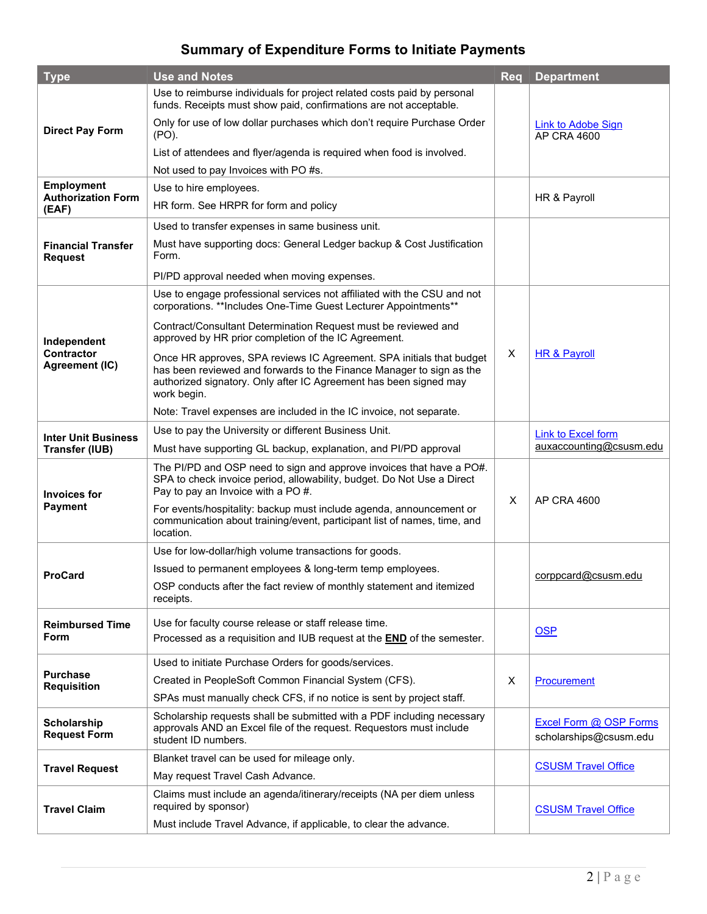## **Summary of Expenditure Forms to Initiate Payments**

| <b>Type</b>                                        | <b>Use and Notes</b>                                                                                                                                                                                                             | <b>Req</b> | <b>Department</b>                                |
|----------------------------------------------------|----------------------------------------------------------------------------------------------------------------------------------------------------------------------------------------------------------------------------------|------------|--------------------------------------------------|
|                                                    | Use to reimburse individuals for project related costs paid by personal<br>funds. Receipts must show paid, confirmations are not acceptable.                                                                                     |            |                                                  |
| <b>Direct Pay Form</b>                             | Only for use of low dollar purchases which don't require Purchase Order<br>(PO).                                                                                                                                                 |            | Link to Adobe Sign<br>AP CRA 4600                |
|                                                    | List of attendees and flyer/agenda is required when food is involved.                                                                                                                                                            |            |                                                  |
|                                                    | Not used to pay Invoices with PO #s.                                                                                                                                                                                             |            |                                                  |
| Employment                                         | Use to hire employees.                                                                                                                                                                                                           |            |                                                  |
| <b>Authorization Form</b><br>(EAF)                 | HR form. See HRPR for form and policy                                                                                                                                                                                            |            | HR & Payroll                                     |
|                                                    | Used to transfer expenses in same business unit.                                                                                                                                                                                 |            |                                                  |
| <b>Financial Transfer</b><br><b>Request</b>        | Must have supporting docs: General Ledger backup & Cost Justification<br>Form.                                                                                                                                                   |            |                                                  |
|                                                    | PI/PD approval needed when moving expenses.                                                                                                                                                                                      |            |                                                  |
| Independent<br><b>Contractor</b><br>Agreement (IC) | Use to engage professional services not affiliated with the CSU and not<br>corporations. **Includes One-Time Guest Lecturer Appointments**                                                                                       |            |                                                  |
|                                                    | Contract/Consultant Determination Request must be reviewed and<br>approved by HR prior completion of the IC Agreement.                                                                                                           |            | HR & Payroll                                     |
|                                                    | Once HR approves, SPA reviews IC Agreement. SPA initials that budget<br>has been reviewed and forwards to the Finance Manager to sign as the<br>authorized signatory. Only after IC Agreement has been signed may<br>work begin. | X          |                                                  |
|                                                    | Note: Travel expenses are included in the IC invoice, not separate.                                                                                                                                                              |            |                                                  |
| <b>Inter Unit Business</b>                         | Use to pay the University or different Business Unit.                                                                                                                                                                            |            | <b>Link to Excel form</b>                        |
| <b>Transfer (IUB)</b>                              | Must have supporting GL backup, explanation, and PI/PD approval                                                                                                                                                                  |            | auxaccounting@csusm.edu                          |
| <b>Invoices for</b><br><b>Payment</b>              | The PI/PD and OSP need to sign and approve invoices that have a PO#.<br>SPA to check invoice period, allowability, budget. Do Not Use a Direct<br>Pay to pay an Invoice with a PO #.                                             |            | AP CRA 4600                                      |
|                                                    | For events/hospitality: backup must include agenda, announcement or<br>communication about training/event, participant list of names, time, and<br>location.                                                                     | X          |                                                  |
|                                                    | Use for low-dollar/high volume transactions for goods.                                                                                                                                                                           |            | corppcard@csusm.edu                              |
| <b>ProCard</b>                                     | Issued to permanent employees & long-term temp employees.                                                                                                                                                                        |            |                                                  |
|                                                    | OSP conducts after the fact review of monthly statement and itemized<br>receipts.                                                                                                                                                |            |                                                  |
| <b>Reimbursed Time</b><br>Form                     | Use for faculty course release or staff release time.                                                                                                                                                                            |            |                                                  |
|                                                    | Processed as a requisition and IUB request at the END of the semester.                                                                                                                                                           |            | <b>OSP</b>                                       |
| <b>Purchase</b><br><b>Requisition</b>              | Used to initiate Purchase Orders for goods/services.                                                                                                                                                                             |            |                                                  |
|                                                    | Created in PeopleSoft Common Financial System (CFS).                                                                                                                                                                             | X          | Procurement                                      |
|                                                    | SPAs must manually check CFS, if no notice is sent by project staff.                                                                                                                                                             |            |                                                  |
| <b>Scholarship</b><br><b>Request Form</b>          | Scholarship requests shall be submitted with a PDF including necessary<br>approvals AND an Excel file of the request. Requestors must include<br>student ID numbers.                                                             |            | Excel Form @ OSP Forms<br>scholarships@csusm.edu |
| <b>Travel Request</b>                              | Blanket travel can be used for mileage only.                                                                                                                                                                                     |            | <b>CSUSM Travel Office</b>                       |
|                                                    | May request Travel Cash Advance.                                                                                                                                                                                                 |            |                                                  |
| <b>Travel Claim</b>                                | Claims must include an agenda/itinerary/receipts (NA per diem unless<br>required by sponsor)                                                                                                                                     |            | <b>CSUSM Travel Office</b>                       |
|                                                    | Must include Travel Advance, if applicable, to clear the advance.                                                                                                                                                                |            |                                                  |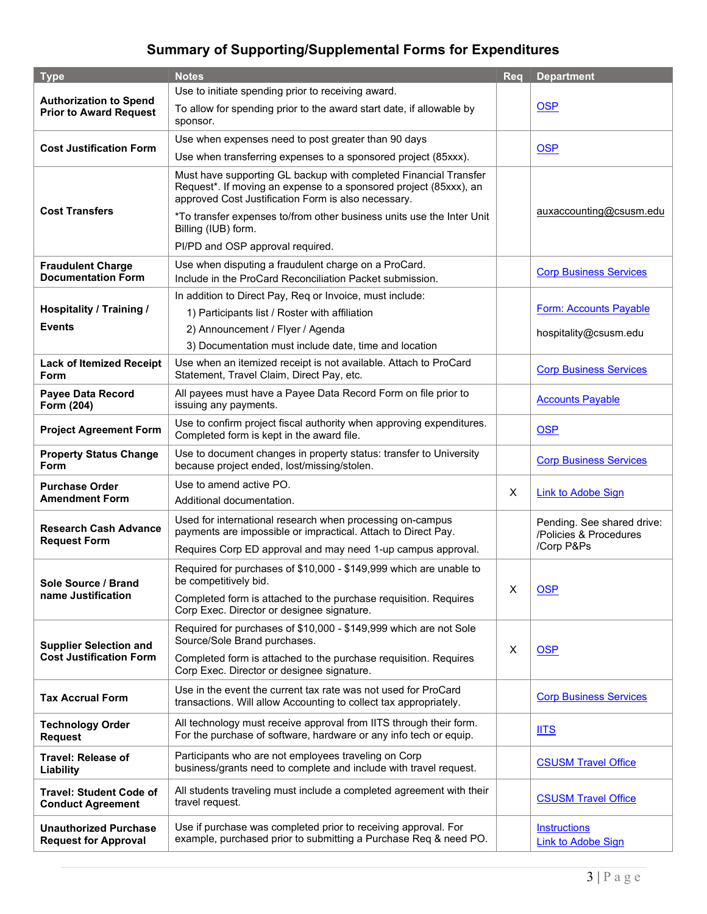# **Summary of Supporting/Supplemental Forms for Expenditures**

| <b>Type</b>                                                     | <b>Notes</b>                                                                                                                                                                                 | <b>Reg</b> | <b>Department</b>                                                  |
|-----------------------------------------------------------------|----------------------------------------------------------------------------------------------------------------------------------------------------------------------------------------------|------------|--------------------------------------------------------------------|
| <b>Authorization to Spend</b><br><b>Prior to Award Request</b>  | Use to initiate spending prior to receiving award.                                                                                                                                           |            |                                                                    |
|                                                                 | To allow for spending prior to the award start date, if allowable by<br>sponsor.                                                                                                             |            | <b>OSP</b>                                                         |
| <b>Cost Justification Form</b>                                  | Use when expenses need to post greater than 90 days                                                                                                                                          |            | <b>OSP</b>                                                         |
|                                                                 | Use when transferring expenses to a sponsored project (85xxx).                                                                                                                               |            |                                                                    |
| <b>Cost Transfers</b>                                           | Must have supporting GL backup with completed Financial Transfer<br>Request*. If moving an expense to a sponsored project (85xxx), an<br>approved Cost Justification Form is also necessary. |            | auxaccounting@csusm.edu                                            |
|                                                                 | *To transfer expenses to/from other business units use the Inter Unit<br>Billing (IUB) form.                                                                                                 |            |                                                                    |
|                                                                 | Pl/PD and OSP approval required.                                                                                                                                                             |            |                                                                    |
| <b>Fraudulent Charge</b><br><b>Documentation Form</b>           | Use when disputing a fraudulent charge on a ProCard.<br>Include in the ProCard Reconciliation Packet submission.                                                                             |            | <b>Corp Business Services</b>                                      |
|                                                                 | In addition to Direct Pay, Req or Invoice, must include:                                                                                                                                     |            | Form: Accounts Payable                                             |
| <b>Hospitality / Training /</b>                                 | 1) Participants list / Roster with affiliation                                                                                                                                               |            |                                                                    |
| <b>Events</b>                                                   | 2) Announcement / Flyer / Agenda                                                                                                                                                             |            | hospitality@csusm.edu                                              |
|                                                                 | 3) Documentation must include date, time and location                                                                                                                                        |            |                                                                    |
| <b>Lack of Itemized Receipt</b><br>Form                         | Use when an itemized receipt is not available. Attach to ProCard<br>Statement, Travel Claim, Direct Pay, etc.                                                                                |            | <b>Corp Business Services</b>                                      |
| Payee Data Record<br>Form (204)                                 | All payees must have a Payee Data Record Form on file prior to<br>issuing any payments.                                                                                                      |            | <b>Accounts Payable</b>                                            |
| <b>Project Agreement Form</b>                                   | Use to confirm project fiscal authority when approving expenditures.<br>Completed form is kept in the award file.                                                                            |            | <b>OSP</b>                                                         |
| <b>Property Status Change</b><br>Form                           | Use to document changes in property status: transfer to University<br>because project ended, lost/missing/stolen.                                                                            |            | <b>Corp Business Services</b>                                      |
| <b>Purchase Order</b>                                           | Use to amend active PO.                                                                                                                                                                      |            | <b>Link to Adobe Sign</b>                                          |
| <b>Amendment Form</b>                                           | Additional documentation.                                                                                                                                                                    | $\times$   |                                                                    |
| <b>Research Cash Advance</b><br><b>Request Form</b>             | Used for international research when processing on-campus<br>payments are impossible or impractical. Attach to Direct Pay.                                                                   |            | Pending. See shared drive:<br>/Policies & Procedures<br>/Corp P&Ps |
|                                                                 | Requires Corp ED approval and may need 1-up campus approval.                                                                                                                                 |            |                                                                    |
| Sole Source / Brand<br>name Justification                       | Required for purchases of \$10,000 - \$149,999 which are unable to<br>be competitively bid.                                                                                                  | $\times$   |                                                                    |
|                                                                 | Completed form is attached to the purchase requisition. Requires<br>Corp Exec. Director or designee signature.                                                                               |            | <b>OSP</b>                                                         |
| <b>Supplier Selection and</b><br><b>Cost Justification Form</b> | Required for purchases of \$10,000 - \$149,999 which are not Sole<br>Source/Sole Brand purchases.                                                                                            | $\times$   | <b>OSP</b>                                                         |
|                                                                 | Completed form is attached to the purchase requisition. Requires<br>Corp Exec. Director or designee signature.                                                                               |            |                                                                    |
| <b>Tax Accrual Form</b>                                         | Use in the event the current tax rate was not used for ProCard<br>transactions. Will allow Accounting to collect tax appropriately.                                                          |            | <b>Corp Business Services</b>                                      |
| <b>Technology Order</b><br><b>Request</b>                       | All technology must receive approval from IITS through their form.<br>For the purchase of software, hardware or any info tech or equip.                                                      |            | <b>IITS</b>                                                        |
| <b>Travel: Release of</b><br>Liability                          | Participants who are not employees traveling on Corp<br>business/grants need to complete and include with travel request.                                                                    |            | <b>CSUSM Travel Office</b>                                         |
| <b>Travel: Student Code of</b><br><b>Conduct Agreement</b>      | All students traveling must include a completed agreement with their<br>travel request.                                                                                                      |            | <b>CSUSM Travel Office</b>                                         |
| <b>Unauthorized Purchase</b><br><b>Request for Approval</b>     | Use if purchase was completed prior to receiving approval. For<br>example, purchased prior to submitting a Purchase Req & need PO.                                                           |            | <b>Instructions</b><br><b>Link to Adobe Sign</b>                   |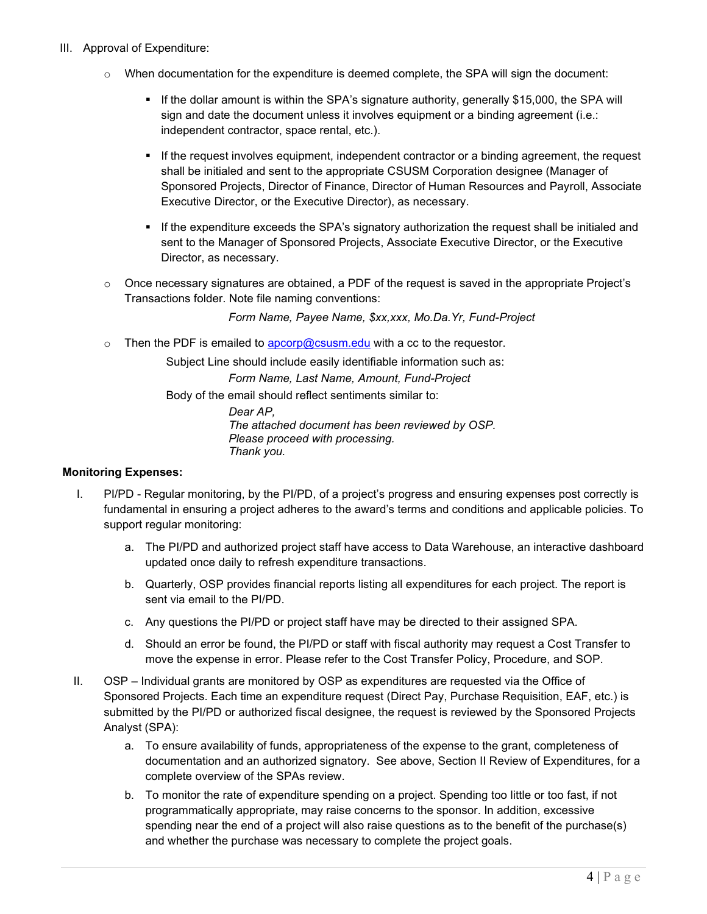#### III. Approval of Expenditure:

- $\circ$  When documentation for the expenditure is deemed complete, the SPA will sign the document:
	- If the dollar amount is within the SPA's signature authority, generally \$15,000, the SPA will sign and date the document unless it involves equipment or a binding agreement (i.e.: independent contractor, space rental, etc.).
	- If the request involves equipment, independent contractor or a binding agreement, the request shall be initialed and sent to the appropriate CSUSM Corporation designee (Manager of Sponsored Projects, Director of Finance, Director of Human Resources and Payroll, Associate Executive Director, or the Executive Director), as necessary.
	- If the expenditure exceeds the SPA's signatory authorization the request shall be initialed and sent to the Manager of Sponsored Projects, Associate Executive Director, or the Executive Director, as necessary.
- $\circ$  Once necessary signatures are obtained, a PDF of the request is saved in the appropriate Project's Transactions folder. Note file naming conventions:

*Form Name, Payee Name, \$xx,xxx, Mo.Da.Yr, Fund-Project*

 $\circ$  Then the PDF is emailed to  $\frac{a}{\sqrt{a}}$  csusm.edu with a cc to the requestor.

Subject Line should include easily identifiable information such as:

*Form Name, Last Name, Amount, Fund-Project*

Body of the email should reflect sentiments similar to:

*Dear AP, The attached document has been reviewed by OSP. Please proceed with processing. Thank you.*

#### **Monitoring Expenses:**

- I. PI/PD Regular monitoring, by the PI/PD, of a project's progress and ensuring expenses post correctly is fundamental in ensuring a project adheres to the award's terms and conditions and applicable policies. To support regular monitoring:
	- a. The PI/PD and authorized project staff have access to Data Warehouse, an interactive dashboard updated once daily to refresh expenditure transactions.
	- b. Quarterly, OSP provides financial reports listing all expenditures for each project. The report is sent via email to the PI/PD.
	- c. Any questions the PI/PD or project staff have may be directed to their assigned SPA.
	- d. Should an error be found, the PI/PD or staff with fiscal authority may request a Cost Transfer to move the expense in error. Please refer to the Cost Transfer Policy, Procedure, and SOP.
- II. OSP Individual grants are monitored by OSP as expenditures are requested via the Office of Sponsored Projects. Each time an expenditure request (Direct Pay, Purchase Requisition, EAF, etc.) is submitted by the PI/PD or authorized fiscal designee, the request is reviewed by the Sponsored Projects Analyst (SPA):
	- a. To ensure availability of funds, appropriateness of the expense to the grant, completeness of documentation and an authorized signatory. See above, Section II Review of Expenditures, for a complete overview of the SPAs review.
	- b. To monitor the rate of expenditure spending on a project. Spending too little or too fast, if not programmatically appropriate, may raise concerns to the sponsor. In addition, excessive spending near the end of a project will also raise questions as to the benefit of the purchase(s) and whether the purchase was necessary to complete the project goals.